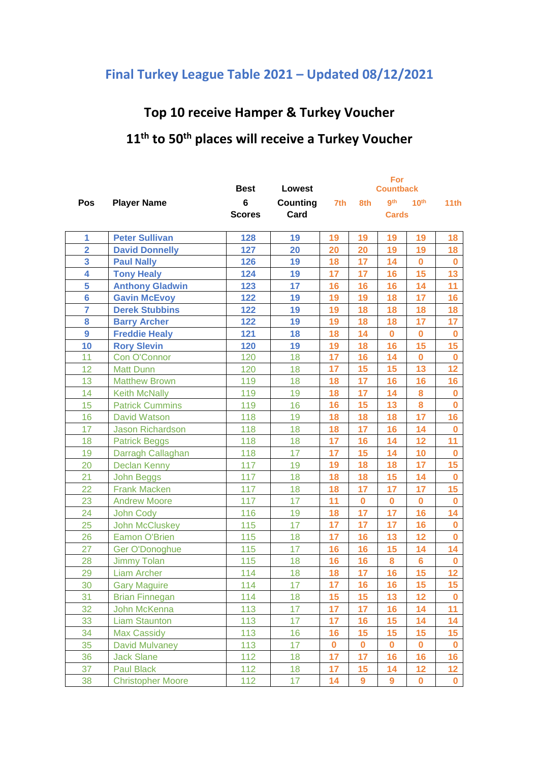## **Final Turkey League Table 2021 – Updated 08/12/2021**

## **Top 10 receive Hamper & Turkey Voucher**

## **th to 50th places will receive a Turkey Voucher**

|                |                          | <b>Best</b>   | <b>Lowest</b>   |          |             | <b>Countback</b> |                  |             |
|----------------|--------------------------|---------------|-----------------|----------|-------------|------------------|------------------|-------------|
| <b>Pos</b>     | <b>Player Name</b>       | 6             | <b>Counting</b> | 7th      | 8th         | gth              | 10 <sup>th</sup> | 11th        |
|                |                          | <b>Scores</b> | Card            |          |             | <b>Cards</b>     |                  |             |
| 1              | <b>Peter Sullivan</b>    | 128           | 19              | 19       | 19          | 19               | 19               | 18          |
| $\overline{2}$ | <b>David Donnelly</b>    | 127           | 20              | 20       | 20          | 19               | 19               | 18          |
| 3              | <b>Paul Nally</b>        | 126           | 19              | 18       | 17          | 14               | $\mathbf 0$      | $\bf{0}$    |
| 4              | <b>Tony Healy</b>        | 124           | 19              | 17       | 17          | 16               | 15               | 13          |
| 5              | <b>Anthony Gladwin</b>   | 123           | 17              | 16       | 16          | 16               | 14               | 11          |
| $6\phantom{a}$ | <b>Gavin McEvoy</b>      | 122           | 19              | 19       | 19          | 18               | 17               | 16          |
| $\overline{7}$ | <b>Derek Stubbins</b>    | 122           | 19              | 19       | 18          | 18               | 18               | 18          |
| 8              | <b>Barry Archer</b>      | 122           | 19              | 19       | 18          | 18               | 17               | 17          |
| $\overline{9}$ | <b>Freddie Healy</b>     | 121           | 18              | 18       | 14          | $\mathbf 0$      | $\mathbf 0$      | $\mathbf 0$ |
| 10             | <b>Rory Slevin</b>       | 120           | 19              | 19       | 18          | 16               | 15               | 15          |
| 11             | Con O'Connor             | 120           | 18              | 17       | 16          | 14               | $\bf{0}$         | $\bf{0}$    |
| 12             | <b>Matt Dunn</b>         | 120           | 18              | 17       | 15          | 15               | 13               | 12          |
| 13             | <b>Matthew Brown</b>     | 119           | 18              | 18       | 17          | 16               | 16               | 16          |
| 14             | <b>Keith McNally</b>     | 119           | 19              | 18       | 17          | 14               | 8                | $\bf{0}$    |
| 15             | <b>Patrick Cummins</b>   | 119           | 16              | 16       | 15          | 13               | 8                | $\mathbf 0$ |
| 16             | <b>David Watson</b>      | 118           | 19              | 18       | 18          | 18               | 17               | 16          |
| 17             | <b>Jason Richardson</b>  | 118           | 18              | 18       | 17          | 16               | 14               | $\bf{0}$    |
| 18             | <b>Patrick Beggs</b>     | 118           | 18              | 17       | 16          | 14               | 12               | 11          |
| 19             | Darragh Callaghan        | 118           | 17              | 17       | 15          | 14               | 10               | $\bf{0}$    |
| 20             | <b>Declan Kenny</b>      | 117           | 19              | 19       | 18          | 18               | 17               | 15          |
| 21             | <b>John Beggs</b>        | 117           | 18              | 18       | 18          | 15               | 14               | $\mathbf 0$ |
| 22             | <b>Frank Macken</b>      | 117           | 18              | 18       | 17          | 17               | 17               | 15          |
| 23             | <b>Andrew Moore</b>      | 117           | 17              | 11       | $\mathbf 0$ | $\bf{0}$         | $\mathbf 0$      | $\bf{0}$    |
| 24             | John Cody                | 116           | 19              | 18       | 17          | 17               | 16               | 14          |
| 25             | <b>John McCluskey</b>    | 115           | 17              | 17       | 17          | 17               | 16               | $\bf{0}$    |
| 26             | <b>Eamon O'Brien</b>     | 115           | 18              | 17       | 16          | 13               | 12               | $\mathbf 0$ |
| 27             | Ger O'Donoghue           | 115           | 17              | 16       | 16          | 15               | 14               | 14          |
| 28             | <b>Jimmy Tolan</b>       | 115           | 18              | 16       | 16          | 8                | 6                | $\bf{0}$    |
| 29             | <b>Liam Archer</b>       | 114           | 18              | 18       | 17          | 16               | 15               | 12          |
| 30             | <b>Gary Maguire</b>      | 114           | 17              | 17       | 16          | 16               | 15               | 15          |
| 31             | <b>Brian Finnegan</b>    | 114           | 18              | 15       | 15          | 13               | 12               | $\bf{0}$    |
| 32             | John McKenna             | 113           | 17              | 17       | 17          | 16               | 14               | 11          |
| 33             | <b>Liam Staunton</b>     | 113           | 17              | 17       | 16          | 15               | 14               | 14          |
| 34             | <b>Max Cassidy</b>       | 113           | 16              | 16       | 15          | 15               | 15               | 15          |
| 35             | David Mulvaney           | 113           | 17              | $\bf{0}$ | $\bf{0}$    | $\bf{0}$         | $\bf{0}$         | $\bf{0}$    |
| 36             | <b>Jack Slane</b>        | 112           | 18              | 17       | 17          | 16               | 16               | 16          |
| 37             | <b>Paul Black</b>        | 112           | 18              | 17       | 15          | 14               | 12               | 12          |
| 38             | <b>Christopher Moore</b> | 112           | 17 <sub>2</sub> | 14       | 9           | $\overline{9}$   | $\bf{0}$         | $\mathbf 0$ |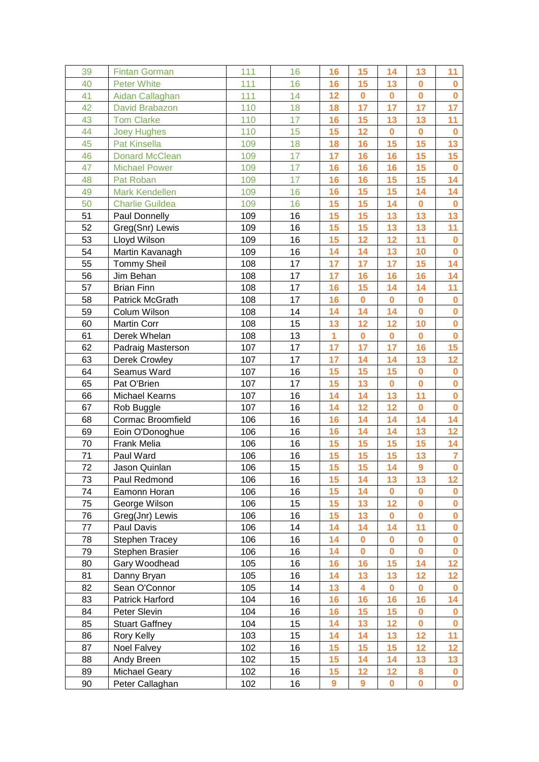| 39 | <b>Fintan Gorman</b>   | 111 | 16 | 16                      | 15       | 14          | 13       | 11                      |
|----|------------------------|-----|----|-------------------------|----------|-------------|----------|-------------------------|
| 40 | <b>Peter White</b>     | 111 | 16 | 16                      | 15       | 13          | $\bf{0}$ | $\bf{0}$                |
| 41 | Aidan Callaghan        | 111 | 14 | 12                      | $\bf{0}$ | $\bf{0}$    | $\bf{0}$ | $\mathbf 0$             |
| 42 | David Brabazon         | 110 | 18 | 18                      | 17       | 17          | 17       | 17                      |
| 43 | <b>Tom Clarke</b>      | 110 | 17 | 16                      | 15       | 13          | 13       | 11                      |
| 44 | <b>Joey Hughes</b>     | 110 | 15 | 15                      | 12       | $\bf{0}$    | $\bf{0}$ | $\bf{0}$                |
| 45 | Pat Kinsella           | 109 | 18 | 18                      | 16       | 15          | 15       | 13                      |
| 46 | <b>Donard McClean</b>  | 109 | 17 | 17                      | 16       | 16          | 15       | 15                      |
| 47 | <b>Michael Power</b>   | 109 | 17 | 16                      | 16       | 16          | 15       | $\bf{0}$                |
| 48 | Pat Roban              | 109 | 17 | 16                      | 16       | 15          | 15       | 14                      |
| 49 | <b>Mark Kendellen</b>  | 109 | 16 | 16                      | 15       | 15          | 14       | 14                      |
| 50 | <b>Charlie Guildea</b> | 109 | 16 | 15                      | 15       | 14          | $\bf{0}$ | $\bf{0}$                |
| 51 | Paul Donnelly          | 109 | 16 | 15                      | 15       | 13          | 13       | 13                      |
| 52 | Greg(Snr) Lewis        | 109 | 16 | 15                      | 15       | 13          | 13       | 11                      |
| 53 | Lloyd Wilson           | 109 | 16 | 15                      | 12       | 12          | 11       | $\mathbf 0$             |
| 54 | Martin Kavanagh        | 109 | 16 | 14                      | 14       | 13          | 10       | $\bf{0}$                |
| 55 | <b>Tommy Sheil</b>     | 108 | 17 | 17                      | 17       | 17          | 15       | 14                      |
| 56 | Jim Behan              | 108 | 17 | 17                      | 16       | 16          | 16       | 14                      |
| 57 | <b>Brian Finn</b>      | 108 | 17 | 16                      | 15       | 14          | 14       | 11                      |
| 58 | <b>Patrick McGrath</b> | 108 | 17 | 16                      | $\bf{0}$ | $\mathbf 0$ | $\bf{0}$ | $\mathbf 0$             |
| 59 | Colum Wilson           | 108 | 14 | 14                      | 14       | 14          | $\bf{0}$ | $\mathbf 0$             |
| 60 | <b>Martin Corr</b>     | 108 | 15 | 13                      | 12       | 12          | 10       | $\mathbf 0$             |
| 61 | Derek Whelan           | 108 | 13 | $\overline{\mathbf{1}}$ | $\bf{0}$ | $\mathbf 0$ | $\bf{0}$ | $\mathbf 0$             |
| 62 | Padraig Masterson      | 107 | 17 | 17                      | 17       | 17          | 16       | 15                      |
| 63 | Derek Crowley          | 107 | 17 | 17                      | 14       | 14          | 13       | 12                      |
| 64 | Seamus Ward            | 107 | 16 | 15                      | 15       | 15          | $\bf{0}$ | $\mathbf 0$             |
| 65 | Pat O'Brien            | 107 | 17 | 15                      | 13       | $\mathbf 0$ | $\bf{0}$ | $\mathbf 0$             |
| 66 | Michael Kearns         | 107 | 16 | 14                      | 14       | 13          | 11       | $\overline{\mathbf{0}}$ |
| 67 | Rob Buggle             | 107 | 16 | 14                      | 12       | 12          | $\bf{0}$ | $\mathbf 0$             |
| 68 | Cormac Broomfield      | 106 | 16 | 16                      | 14       | 14          | 14       | 14                      |
| 69 | Eoin O'Donoghue        | 106 | 16 | 16                      | 14       | 14          | 13       | 12                      |
| 70 | Frank Melia            | 106 | 16 | 15                      | 15       | 15          | 15       | 14                      |
| 71 | Paul Ward              | 106 | 16 | 15                      | 15       | 15          | 13       | $\overline{7}$          |
| 72 | Jason Quinlan          | 106 | 15 | 15                      | 15       | 14          | 9        | $\mathbf 0$             |
| 73 | Paul Redmond           | 106 | 16 | 15                      | 14       | 13          | 13       | 12                      |
| 74 | Eamonn Horan           | 106 | 16 | 15                      | 14       | $\bf{0}$    | $\bf{0}$ | $\bf{0}$                |
| 75 | George Wilson          | 106 | 15 | 15                      | 13       | 12          | $\bf{0}$ | $\bf{0}$                |
| 76 | Greg(Jnr) Lewis        | 106 | 16 | 15                      | 13       | $\bf{0}$    | $\bf{0}$ | $\bf{0}$                |
| 77 | Paul Davis             | 106 | 14 | 14                      | 14       | 14          | 11       | $\mathbf 0$             |
| 78 | <b>Stephen Tracey</b>  | 106 | 16 | 14                      | 0        | $\bf{0}$    | $\bf{0}$ | $\bf{0}$                |
| 79 | Stephen Brasier        | 106 | 16 | 14                      | $\bf{0}$ | $\bf{0}$    | $\bf{0}$ | $\bf{0}$                |
| 80 | Gary Woodhead          | 105 | 16 | 16                      | 16       | 15          | 14       | 12                      |
| 81 | Danny Bryan            | 105 | 16 | 14                      | 13       | 13          | 12       | 12                      |
| 82 | Sean O'Connor          | 105 | 14 | 13                      | 4        | $\mathbf 0$ | $\bf{0}$ | $\bf{0}$                |
| 83 | Patrick Harford        | 104 | 16 | 16                      | 16       | 16          | 16       | 14                      |
| 84 | Peter Slevin           | 104 | 16 | 16                      | 15       | 15          | $\bf{0}$ | $\bf{0}$                |
| 85 | <b>Stuart Gaffney</b>  | 104 | 15 | 14                      | 13       | 12          | $\bf{0}$ | $\bf{0}$                |
| 86 | Rory Kelly             | 103 | 15 | 14                      | 14       | 13          | 12       | 11                      |
| 87 | Noel Falvey            | 102 | 16 | 15                      | 15       | 15          | 12       | 12                      |
| 88 | Andy Breen             | 102 | 15 | 15                      | 14       | 14          | 13       | 13                      |
| 89 | <b>Michael Geary</b>   | 102 | 16 | 15                      | 12       | 12          | 8        | $\bf{0}$                |
| 90 | Peter Callaghan        | 102 | 16 | 9                       | 9        | $\mathbf 0$ | $\bf{0}$ | $\mathbf 0$             |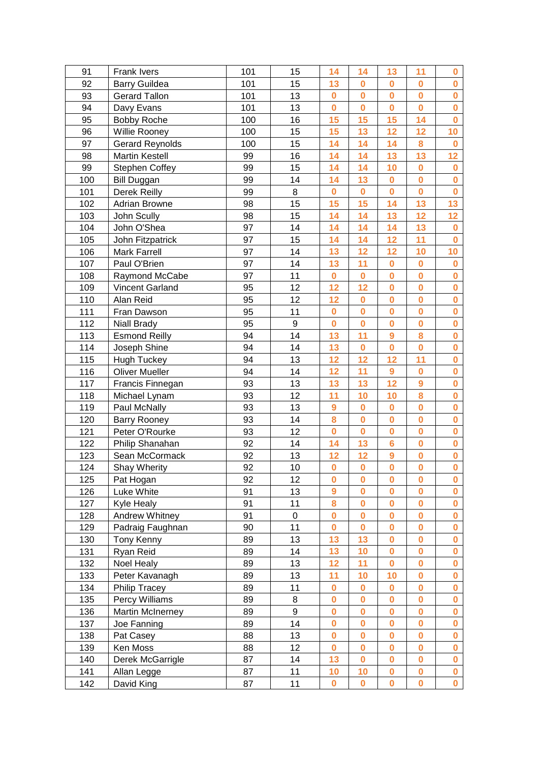| 91  | <b>Frank Ivers</b>     | 101 | 15          | 14               | 14             | 13                      | 11                      | $\bf{0}$                |
|-----|------------------------|-----|-------------|------------------|----------------|-------------------------|-------------------------|-------------------------|
| 92  | <b>Barry Guildea</b>   | 101 | 15          | 13               | $\bf{0}$       | $\bf{0}$                | $\bf{0}$                | $\bf{0}$                |
| 93  | <b>Gerard Tallon</b>   | 101 | 13          | $\bf{0}$         | $\bf{0}$       | $\overline{\mathbf{0}}$ | $\bf{0}$                | $\mathbf 0$             |
| 94  | Davy Evans             | 101 | 13          | $\mathbf 0$      | $\overline{0}$ | $\overline{\mathbf{0}}$ | $\bf{0}$                | $\overline{\mathbf{0}}$ |
| 95  | <b>Bobby Roche</b>     | 100 | 16          | 15               | 15             | 15                      | 14                      | $\bf{0}$                |
| 96  | Willie Rooney          | 100 | 15          | 15               | 13             | 12                      | 12                      | 10                      |
| 97  | <b>Gerard Reynolds</b> | 100 | 15          | 14               | 14             | 14                      | 8                       | $\bf{0}$                |
| 98  | <b>Martin Kestell</b>  | 99  | 16          | 14               | 14             | 13                      | 13                      | 12                      |
| 99  | <b>Stephen Coffey</b>  | 99  | 15          | 14               | 14             | 10                      | $\bf{0}$                | $\bf{0}$                |
| 100 | <b>Bill Duggan</b>     | 99  | 14          | 14               | 13             | $\mathbf 0$             | $\bf{0}$                | $\mathbf 0$             |
| 101 | Derek Reilly           | 99  | 8           | $\bf{0}$         | $\bf{0}$       | $\bf{0}$                | $\bf{0}$                | $\bf{0}$                |
| 102 | <b>Adrian Browne</b>   | 98  | 15          | 15               | 15             | 14                      | 13                      | 13                      |
| 103 | John Scully            | 98  | 15          | 14               | 14             | 13                      | 12                      | 12                      |
| 104 | John O'Shea            | 97  | 14          | 14               | 14             | 14                      | 13                      | $\bf{0}$                |
| 105 | John Fitzpatrick       | 97  | 15          | 14               | 14             | 12                      | 11                      | $\mathbf 0$             |
| 106 | <b>Mark Farrell</b>    | 97  | 14          | 13               | 12             | 12                      | 10                      | 10                      |
| 107 | Paul O'Brien           | 97  | 14          | 13               | 11             | $\bf{0}$                | $\bf{0}$                | $\bf{0}$                |
| 108 | <b>Raymond McCabe</b>  | 97  | 11          | $\bf{0}$         | $\overline{0}$ | $\mathbf 0$             | $\bf{0}$                | $\mathbf 0$             |
| 109 | <b>Vincent Garland</b> | 95  | 12          | 12               | 12             | $\overline{\mathbf{0}}$ | $\bf{0}$                | $\mathbf 0$             |
| 110 | Alan Reid              | 95  | 12          | 12               | $\bf{0}$       | $\bf{0}$                | $\bf{0}$                | $\mathbf 0$             |
| 111 | Fran Dawson            | 95  | 11          | $\bf{0}$         | $\bf{0}$       | $\bf{0}$                | $\bf{0}$                | $\bf{0}$                |
| 112 | <b>Niall Brady</b>     | 95  | 9           | $\bf{0}$         | $\bf{0}$       | $\bf{0}$                | $\bf{0}$                | $\bf{0}$                |
| 113 | <b>Esmond Reilly</b>   | 94  | 14          | 13               | 11             | 9                       | 8                       | $\bf{0}$                |
| 114 | Joseph Shine           | 94  | 14          | 13               | $\bf{0}$       | $\mathbf 0$             | $\bf{0}$                | $\bf{0}$                |
| 115 |                        | 94  | 13          | 12               | 12             | 12                      | 11                      | $\mathbf 0$             |
|     | <b>Hugh Tuckey</b>     | 94  | 14          |                  |                |                         | $\bf{0}$                | $\bf{0}$                |
| 116 | <b>Oliver Mueller</b>  | 93  | 13          | 12<br>13         | 11<br>13       | $\boldsymbol{9}$<br>12  | 9                       | $\mathbf 0$             |
| 117 | Francis Finnegan       |     |             |                  |                |                         | 8                       | $\overline{\mathbf{0}}$ |
| 118 | Michael Lynam          | 93  | 12          | 11               | 10             | 10                      |                         |                         |
| 119 | Paul McNally           | 93  | 13          | $\boldsymbol{9}$ | $\bf{0}$       | $\mathbf 0$             | $\bf{0}$                | $\mathbf 0$             |
| 120 | Barry Rooney           | 93  | 14          | 8                | $\bf{0}$       | $\bf{0}$                | $\bf{0}$                | $\bf{0}$                |
| 121 | Peter O'Rourke         | 93  | 12          | $\mathbf 0$      | $\bf{0}$       | $\mathbf 0$             | $\bf{0}$                | $\mathbf 0$             |
| 122 | Philip Shanahan        | 92  | 14          | 14               | 13             | $6\phantom{a}$          | $\bf{0}$                | $\mathbf 0$             |
| 123 | Sean McCormack         | 92  | 13          | 12               | 12             | 9                       | $\bf{0}$                | $\bf{0}$                |
| 124 | Shay Wherity           | 92  | 10          | $\pmb{0}$        | $\pmb{0}$      | $\overline{\mathbf{0}}$ | $\overline{\mathbf{0}}$ | $\mathbf 0$             |
| 125 | Pat Hogan              | 92  | 12          | $\bf{0}$         | $\bf{0}$       | $\bf{0}$                | $\bf{0}$                | $\bf{0}$                |
| 126 | Luke White             | 91  | 13          | $\boldsymbol{9}$ | $\bf{0}$       | $\bf{0}$                | $\bf{0}$                | $\bf{0}$                |
| 127 | Kyle Healy             | 91  | 11          | 8                | $\bf{0}$       | $\bf{0}$                | $\bf{0}$                | $\bf{0}$                |
| 128 | Andrew Whitney         | 91  | $\mathsf 0$ | $\bf{0}$         | $\bf{0}$       | $\mathbf 0$             | $\bf{0}$                | $\bf{0}$                |
| 129 | Padraig Faughnan       | 90  | 11          | $\bf{0}$         | $\bf{0}$       | $\bf{0}$                | $\bf{0}$                | $\mathbf 0$             |
| 130 | Tony Kenny             | 89  | 13          | 13               | 13             | $\bf{0}$                | $\bf{0}$                | $\bf{0}$                |
| 131 | Ryan Reid              | 89  | 14          | 13               | 10             | $\bf{0}$                | $\bf{0}$                | $\bf{0}$                |
| 132 | Noel Healy             | 89  | 13          | 12               | 11             | $\mathbf 0$             | $\bf{0}$                | $\bf{0}$                |
| 133 | Peter Kavanagh         | 89  | 13          | 11               | 10             | 10                      | $\bf{0}$                | $\bf{0}$                |
| 134 | <b>Philip Tracey</b>   | 89  | 11          | $\bf{0}$         | 0              | 0                       | $\bf{0}$                | $\bf{0}$                |
| 135 | Percy Williams         | 89  | 8           | $\bf{0}$         | $\bf{0}$       | $\bf{0}$                | $\bf{0}$                | $\bf{0}$                |
| 136 | Martin McInerney       | 89  | 9           | $\bf{0}$         | $\bf{0}$       | $\bf{0}$                | $\bf{0}$                | $\bf{0}$                |
| 137 | Joe Fanning            | 89  | 14          | $\bf{0}$         | $\bf{0}$       | $\overline{\mathbf{0}}$ | $\bf{0}$                | $\bf{0}$                |
| 138 | Pat Casey              | 88  | 13          | $\bf{0}$         | $\bf{0}$       | $\bf{0}$                | $\boldsymbol{0}$        | $\bf{0}$                |
| 139 | Ken Moss               | 88  | 12          | $\bf{0}$         | $\bf{0}$       | $\bf{0}$                | $\bf{0}$                | $\bf{0}$                |
| 140 | Derek McGarrigle       | 87  | 14          | 13               | $\bf{0}$       | $\bf{0}$                | $\bf{0}$                | $\bf{0}$                |
| 141 | Allan Legge            | 87  | 11          | 10               | 10             | $\bf{0}$                | $\bf{0}$                | $\mathbf 0$             |
| 142 | David King             | 87  | 11          | $\bf{0}$         | $\bf{0}$       | 0                       | $\bf{0}$                | $\mathbf 0$             |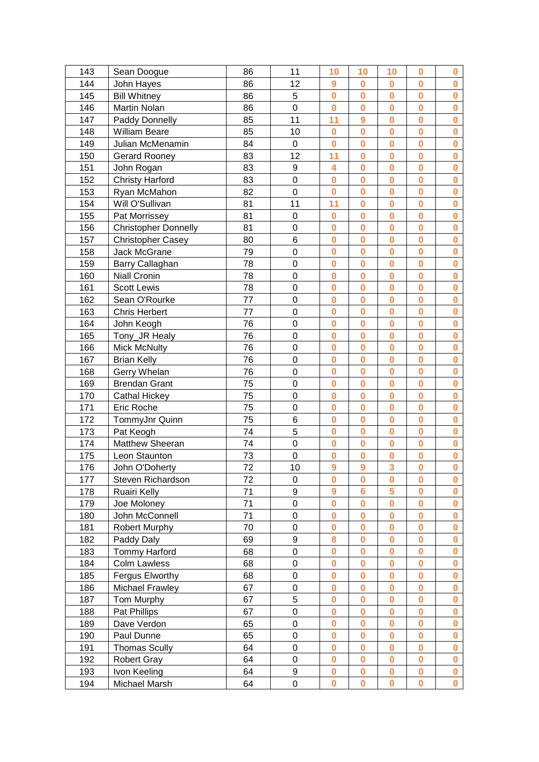| 143 | Sean Doogue                 | 86 | 11               | 10               | 10                      | 10                      | $\bf{0}$ | $\bf{0}$     |
|-----|-----------------------------|----|------------------|------------------|-------------------------|-------------------------|----------|--------------|
| 144 | John Hayes                  | 86 | 12               | $\boldsymbol{9}$ | $\bf{0}$                | $\bf{0}$                | $\bf{0}$ | $\bf{0}$     |
| 145 | <b>Bill Whitney</b>         | 86 | 5                | $\bf{0}$         | $\bf{0}$                | $\bf{0}$                | $\bf{0}$ | $\bf{0}$     |
| 146 | <b>Martin Nolan</b>         | 86 | $\overline{0}$   | $\bf{0}$         | $\bf{0}$                | $\overline{0}$          | $\bf{0}$ | $\bf{0}$     |
| 147 | Paddy Donnelly              | 85 | 11               | 11               | 9                       | $\bf{0}$                | $\bf{0}$ | $\bf{0}$     |
| 148 | <b>William Beare</b>        | 85 | 10               | $\bf{0}$         | $\bf{0}$                | $\bf{0}$                | $\bf{0}$ | $\bf{0}$     |
| 149 | Julian McMenamin            | 84 | $\mathsf 0$      | $\bf{0}$         | $\bf{0}$                | $\mathbf 0$             | $\bf{0}$ | $\bf{0}$     |
| 150 | Gerard Rooney               | 83 | 12               | 11               | $\overline{\mathbf{0}}$ | $\mathbf 0$             | $\bf{0}$ | $\mathbf 0$  |
| 151 | John Rogan                  | 83 | 9                | 4                | $\overline{\mathbf{0}}$ | $\overline{0}$          | $\bf{0}$ | $\bf{0}$     |
| 152 | <b>Christy Harford</b>      | 83 | $\mathbf 0$      | $\bf{0}$         | $\bf{0}$                | $\mathbf 0$             | $\bf{0}$ | $\bf{0}$     |
| 153 | Ryan McMahon                | 82 | $\mathbf 0$      | $\bf{0}$         | $\bf{0}$                | $\bf{0}$                | $\bf{0}$ | $\bf{0}$     |
| 154 | Will O'Sullivan             | 81 | 11               | 11               | $\bf{0}$                | $\bf{0}$                | $\bf{0}$ | $\bf{0}$     |
| 155 | Pat Morrissey               | 81 | 0                | $\bf{0}$         | $\bf{0}$                | $\bf{0}$                | $\bf{0}$ | $\bf{0}$     |
| 156 | <b>Christopher Donnelly</b> | 81 | $\mathbf 0$      | $\bf{0}$         | $\bf{0}$                | $\mathbf 0$             | $\bf{0}$ | $\bf{0}$     |
| 157 | Christopher Casey           | 80 | 6                | $\bf{0}$         | $\bf{0}$                | $\mathbf 0$             | $\bf{0}$ | $\mathbf 0$  |
| 158 | Jack McGrane                | 79 | $\mathbf 0$      | $\bf{0}$         | $\bf{0}$                | $\bf{0}$                | $\bf{0}$ | $\bf{0}$     |
| 159 | Barry Callaghan             | 78 | $\mathbf 0$      | $\bf{0}$         | $\bf{0}$                | $\mathbf 0$             | $\bf{0}$ | $\bf{0}$     |
| 160 | <b>Niall Cronin</b>         | 78 | $\overline{0}$   | $\bf{0}$         | $\overline{\mathbf{0}}$ | $\mathbf 0$             | $\bf{0}$ | $\bf{0}$     |
| 161 | <b>Scott Lewis</b>          | 78 | $\mathsf 0$      | $\bf{0}$         | $\overline{\mathbf{0}}$ | $\overline{\mathbf{0}}$ | $\bf{0}$ | $\bf{0}$     |
| 162 | Sean O'Rourke               | 77 | $\mathbf 0$      | $\bf{0}$         | $\bf{0}$                | $\bf{0}$                | $\bf{0}$ | $\bf{0}$     |
| 163 | <b>Chris Herbert</b>        | 77 | $\mathbf 0$      | $\bf{0}$         | $\bf{0}$                | $\bf{0}$                | $\bf{0}$ | $\bf{0}$     |
| 164 | John Keogh                  | 76 | $\mathbf 0$      | $\bf{0}$         | $\bf{0}$                | $\bf{0}$                | $\bf{0}$ | $\bf{0}$     |
| 165 | Tony_JR Healy               | 76 | $\mathbf 0$      | $\bf{0}$         | $\bf{0}$                | $\bf{0}$                | $\bf{0}$ | $\bf{0}$     |
| 166 | <b>Mick McNulty</b>         | 76 | 0                | $\bf{0}$         | $\bf{0}$                | $\bf{0}$                | $\bf{0}$ | $\bf{0}$     |
| 167 | <b>Brian Kelly</b>          | 76 | $\mathbf 0$      | $\bf{0}$         | $\bf{0}$                | $\bf{0}$                | $\bf{0}$ | $\bf{0}$     |
| 168 | Gerry Whelan                | 76 | $\mathbf 0$      | $\bf{0}$         | $\bf{0}$                | $\bf{0}$                | $\bf{0}$ | $\bf{0}$     |
| 169 | <b>Brendan Grant</b>        | 75 | $\overline{0}$   | $\bf{0}$         | $\overline{0}$          | $\mathbf 0$             | $\bf{0}$ | $\bf{0}$     |
| 170 | <b>Cathal Hickey</b>        | 75 | $\mathbf 0$      | $\bf{0}$         | $\overline{\mathbf{0}}$ | $\overline{\mathbf{0}}$ | $\bf{0}$ | $\bf{0}$     |
| 171 | Eric Roche                  | 75 | $\mathbf 0$      | $\bf{0}$         | $\bf{0}$                | $\bf{0}$                | $\bf{0}$ | $\bf{0}$     |
| 172 | TommyJnr Quinn              | 75 | 6                | $\bf{0}$         | $\bf{0}$                | $\bf{0}$                | $\bf{0}$ | $\bf{0}$     |
| 173 | Pat Keogh                   | 74 | 5                | $\bf{0}$         | $\bf{0}$                | $\bf{0}$                | $\bf{0}$ | $\bf{0}$     |
| 174 | Matthew Sheeran             | 74 | $\mathbf 0$      | $\bf{0}$         | $\bf{0}$                | $\bf{0}$                | $\bf{0}$ | $\bf{0}$     |
| 175 | Leon Staunton               | 73 | $\mathbf 0$      | $\bf{0}$         | $\bf{0}$                | $\bf{0}$                | $\bf{0}$ | $\bf{0}$     |
| 176 | John O'Doherty              | 72 | 10               | 9                | 9                       | 3                       | $\bf{0}$ | $\bf{0}$     |
| 177 | Steven Richardson           | 72 | $\boldsymbol{0}$ | $\bf{0}$         | 0                       | $\bf{0}$                | $\bf{0}$ | $\bf{0}$     |
| 178 | Ruairi Kelly                | 71 | 9                | $\boldsymbol{9}$ | 6                       | 5                       | $\bf{0}$ | $\bf{0}$     |
| 179 | Joe Moloney                 | 71 | $\mathbf 0$      | $\bf{0}$         | $\overline{\mathbf{0}}$ | $\bf{0}$                | $\bf{0}$ | $\bf{0}$     |
| 180 | John McConnell              | 71 | $\mathsf 0$      | $\bf{0}$         | $\overline{\mathbf{0}}$ | $\mathbf 0$             | $\bf{0}$ | $\bf{0}$     |
| 181 | Robert Murphy               | 70 | 0                | $\bf{0}$         | $\bf{0}$                | $\mathbf 0$             | $\bf{0}$ | $\mathbf 0$  |
| 182 | Paddy Daly                  | 69 | 9                | 8                | $\bf{0}$                | $\bf{0}$                | $\bf{0}$ | $\bf{0}$     |
| 183 | <b>Tommy Harford</b>        | 68 | $\mathbf 0$      | $\bf{0}$         | $\bf{0}$                | $\bf{0}$                | $\bf{0}$ | $\bf{0}$     |
| 184 | <b>Colm Lawless</b>         | 68 | $\mathbf 0$      | $\bf{0}$         | $\bf{0}$                | $\bf{0}$                | $\bf{0}$ | $\bf{0}$     |
| 185 | Fergus Elworthy             | 68 | 0                | $\bf{0}$         | $\bf{0}$                | $\bf{0}$                | $\bf{0}$ | $\bf{0}$     |
| 186 | <b>Michael Frawley</b>      | 67 | 0                | $\bf{0}$         | 0                       | $\bf{0}$                | $\bf{0}$ | $\bf{0}$     |
| 187 | Tom Murphy                  | 67 | 5                | $\bf{0}$         | $\bf{0}$                | $\bf{0}$                | $\bf{0}$ | $\bf{0}$     |
| 188 | Pat Phillips                | 67 | $\mathbf 0$      | $\bf{0}$         | $\bf{0}$                | $\bf{0}$                | $\bf{0}$ | $\bf{0}$     |
| 189 | Dave Verdon                 | 65 | $\mathbf 0$      | $\bf{0}$         | $\overline{\mathbf{0}}$ | $\mathbf 0$             | $\bf{0}$ | $\bf{0}$     |
| 190 | Paul Dunne                  | 65 | 0                | $\bf{0}$         | 0                       | $\bf{0}$                | $\bf{0}$ | $\bf{0}$     |
| 191 | <b>Thomas Scully</b>        | 64 | 0                | $\bf{0}$         | 0                       | $\bf{0}$                | $\bf{0}$ | $\bf{0}$     |
| 192 | <b>Robert Gray</b>          | 64 | $\mathbf 0$      | $\bf{0}$         | $\bf{0}$                | $\bf{0}$                | $\bf{0}$ | $\bf{0}$     |
| 193 | Ivon Keeling                | 64 | 9                | $\bf{0}$         | 0                       | $\bf{0}$                | $\bf{0}$ | $\mathbf 0$  |
| 194 | Michael Marsh               | 64 | $\mathsf 0$      | $\bf{0}$         | $\bf{0}$                | $\overline{\mathbf{0}}$ | $\bf{0}$ | $\mathbf{0}$ |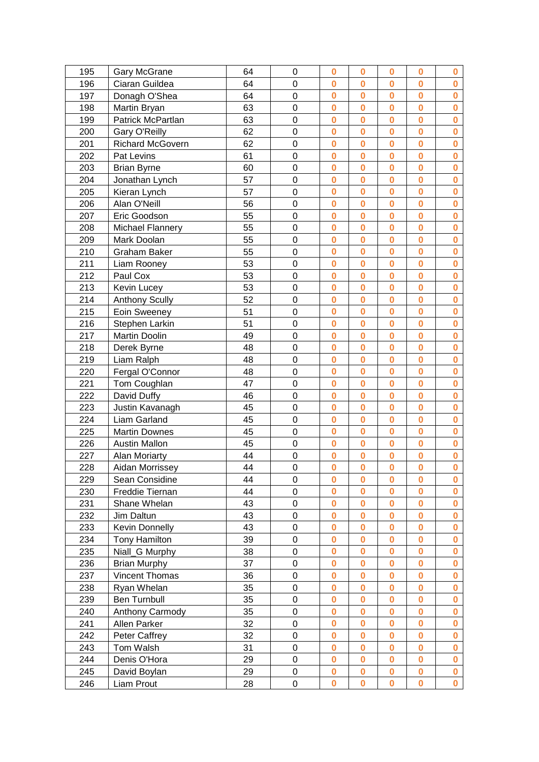| 195 | <b>Gary McGrane</b>     | 64 | 0              | $\bf{0}$         | $\bf{0}$                | $\bf{0}$                | $\bf{0}$ | $\bf{0}$    |
|-----|-------------------------|----|----------------|------------------|-------------------------|-------------------------|----------|-------------|
| 196 | Ciaran Guildea          | 64 | $\mathbf 0$    | $\bf{0}$         | $\bf{0}$                | $\bf{0}$                | $\bf{0}$ | $\bf{0}$    |
| 197 | Donagh O'Shea           | 64 | $\mathbf 0$    | $\bf{0}$         | $\bf{0}$                | $\bf{0}$                | $\bf{0}$ | $\mathbf 0$ |
| 198 | Martin Bryan            | 63 | 0              | $\bf{0}$         | $\overline{0}$          | O                       | $\bf{0}$ | $\bf{0}$    |
| 199 | Patrick McPartlan       | 63 | 0              | $\bf{0}$         | $\bf{0}$                | $\mathbf 0$             | $\bf{0}$ | $\bf{0}$    |
| 200 | Gary O'Reilly           | 62 | $\mathbf 0$    | $\bf{0}$         | $\bf{0}$                | $\bf{0}$                | $\bf{0}$ | $\bf{0}$    |
| 201 | <b>Richard McGovern</b> | 62 | $\mathbf 0$    | $\bf{0}$         | $\bf{0}$                | $\mathbf 0$             | $\bf{0}$ | $\bf{0}$    |
| 202 | Pat Levins              | 61 | $\overline{0}$ | $\bf{0}$         | $\bf{0}$                | $\overline{\mathbf{0}}$ | $\bf{0}$ | $\mathbf 0$ |
| 203 | <b>Brian Byrne</b>      | 60 | $\overline{0}$ | $\bf{0}$         | $\overline{\mathbf{0}}$ | $\overline{\mathbf{0}}$ | $\bf{0}$ | $\bf{0}$    |
| 204 | Jonathan Lynch          | 57 | $\mathbf 0$    | $\bf{0}$         | $\bf{0}$                | $\mathbf 0$             | $\bf{0}$ | $\mathbf 0$ |
| 205 | Kieran Lynch            | 57 | 0              | $\bf{0}$         | $\bf{0}$                | $\bf{0}$                | $\bf{0}$ | $\bf{0}$    |
| 206 | Alan O'Neill            | 56 | 0              | $\bf{0}$         | $\bf{0}$                | $\bf{0}$                | $\bf{0}$ | $\bf{0}$    |
| 207 | Eric Goodson            | 55 | $\mathbf 0$    | $\bf{0}$         | $\bf{0}$                | $\bf{0}$                | $\bf{0}$ | $\bf{0}$    |
| 208 | <b>Michael Flannery</b> | 55 | $\mathbf 0$    | $\bf{0}$         | $\bf{0}$                | $\mathbf 0$             | $\bf{0}$ | $\bf{0}$    |
| 209 | Mark Doolan             | 55 | $\overline{0}$ | $\bf{0}$         | $\bf{0}$                | $\mathbf 0$             | $\bf{0}$ | $\mathbf 0$ |
| 210 | <b>Graham Baker</b>     | 55 | 0              | $\bf{0}$         | $\bf{0}$                | $\mathbf 0$             | $\bf{0}$ | $\bf{0}$    |
| 211 | Liam Rooney             | 53 | $\mathbf 0$    | $\bf{0}$         | $\bf{0}$                | $\bf{0}$                | $\bf{0}$ | $\mathbf 0$ |
| 212 | Paul Cox                | 53 | $\overline{0}$ | $\bf{0}$         | $\bf{0}$                | $\overline{\mathbf{0}}$ | $\bf{0}$ | $\bf{0}$    |
| 213 | Kevin Lucey             | 53 | $\mathbf 0$    | $\bf{0}$         | $\overline{\mathbf{0}}$ | $\overline{\mathbf{0}}$ | $\bf{0}$ | $\mathbf 0$ |
| 214 | <b>Anthony Scully</b>   | 52 | $\mathbf 0$    | $\bf{0}$         | $\bf{0}$                | $\bf{0}$                | $\bf{0}$ | $\bf{0}$    |
| 215 | Eoin Sweeney            | 51 | $\mathbf 0$    | $\bf{0}$         | $\bf{0}$                | $\bf{0}$                | $\bf{0}$ | $\bf{0}$    |
| 216 | Stephen Larkin          | 51 | $\mathbf 0$    | $\bf{0}$         | $\bf{0}$                | $\bf{0}$                | $\bf{0}$ | $\bf{0}$    |
| 217 | Martin Doolin           | 49 | $\overline{0}$ | $\bf{0}$         | $\bf{0}$                | $\mathbf 0$             | $\bf{0}$ | $\bf{0}$    |
| 218 | Derek Byrne             | 48 | 0              | $\bf{0}$         | $\bf{0}$                | $\mathbf 0$             | $\bf{0}$ | $\bf{0}$    |
| 219 | Liam Ralph              | 48 | $\mathbf 0$    | $\bf{0}$         | $\bf{0}$                | $\bf{0}$                | $\bf{0}$ | $\bf{0}$    |
| 220 | Fergal O'Connor         | 48 | $\mathbf 0$    | $\bf{0}$         | $\bf{0}$                | $\bf{0}$                | $\bf{0}$ | $\bf{0}$    |
| 221 | Tom Coughlan            | 47 | $\overline{0}$ | $\bf{0}$         | $\overline{0}$          | $\mathbf 0$             | $\bf{0}$ | $\mathbf 0$ |
| 222 | David Duffy             | 46 | $\overline{0}$ | $\bf{0}$         | $\overline{0}$          | $\overline{\mathbf{0}}$ | $\bf{0}$ | $\bf{0}$    |
| 223 | Justin Kavanagh         | 45 | $\mathbf 0$    | $\bf{0}$         | $\bf{0}$                | $\mathbf 0$             | $\bf{0}$ | $\mathbf 0$ |
| 224 | Liam Garland            | 45 | 0              | $\bf{0}$         | $\bf{0}$                | $\bf{0}$                | $\bf{0}$ | $\bf{0}$    |
| 225 | <b>Martin Downes</b>    | 45 | 0              | $\bf{0}$         | $\bf{0}$                | $\bf{0}$                | $\bf{0}$ | $\bf{0}$    |
| 226 | <b>Austin Mallon</b>    | 45 | $\mathbf 0$    | $\bf{0}$         | $\bf{0}$                | $\bf{0}$                | $\bf{0}$ | $\bf{0}$    |
| 227 | Alan Moriarty           | 44 | 0              | $\bf{0}$         | $\bf{0}$                | 0                       | $\bf{0}$ | $\bf{0}$    |
| 228 | Aidan Morrissey         | 44 | $\mathbf 0$    | $\bf{0}$         | $\bf{0}$                | $\mathbf 0$             | $\bf{0}$ | $\bf{0}$    |
| 229 | Sean Considine          | 44 | 0              | $\bf{0}$         | $\bf{0}$                | $\bf{0}$                | $\bf{0}$ | $\bf{0}$    |
| 230 | Freddie Tiernan         | 44 | 0              | $\bf{0}$         | $\bf{0}$                | $\bf{0}$                | $\bf{0}$ | $\bf{0}$    |
| 231 | Shane Whelan            | 43 | $\mathbf 0$    | $\bf{0}$         | $\bf{0}$                | $\bf{0}$                | $\bf{0}$ | $\bf{0}$    |
| 232 | Jim Daltun              | 43 | $\mathbf 0$    | $\bf{0}$         | $\bf{0}$                | $\bf{0}$                | $\bf{0}$ | $\bf{0}$    |
| 233 | <b>Kevin Donnelly</b>   | 43 | 0              | $\bf{0}$         | $\bf{0}$                | $\bf{0}$                | $\bf{0}$ | $\mathbf 0$ |
| 234 | <b>Tony Hamilton</b>    | 39 | 0              | $\bf{0}$         | $\bf{0}$                | $\bf{0}$                | $\bf{0}$ | $\bf{0}$    |
| 235 | Niall_G Murphy          | 38 | $\mathbf 0$    | $\bf{0}$         | $\bf{0}$                | $\bf{0}$                | $\bf{0}$ | $\bf{0}$    |
| 236 | <b>Brian Murphy</b>     | 37 | 0              | $\bf{0}$         | $\bf{0}$                | $\mathbf 0$             | $\bf{0}$ | $\bf{0}$    |
| 237 | Vincent Thomas          | 36 | 0              | $\bf{0}$         | $\bf{0}$                | $\bf{0}$                | $\bf{0}$ | $\bf{0}$    |
| 238 | Ryan Whelan             | 35 | 0              | $\boldsymbol{0}$ | $\bf{0}$                | $\bf{0}$                | $\bf{0}$ | $\bf{0}$    |
| 239 | <b>Ben Turnbull</b>     | 35 | 0              | $\bf{0}$         | $\bf{0}$                | $\bf{0}$                | $\bf{0}$ | $\bf{0}$    |
| 240 | Anthony Carmody         | 35 | 0              | $\bf{0}$         | $\bf{0}$                | $\bf{0}$                | $\bf{0}$ | $\bf{0}$    |
| 241 | Allen Parker            | 32 | $\mathbf 0$    | $\bf{0}$         | $\bf{0}$                | $\mathbf 0$             | $\bf{0}$ | $\bf{0}$    |
| 242 | <b>Peter Caffrey</b>    | 32 | 0              | $\bf{0}$         | $\bf{0}$                | $\bf{0}$                | $\bf{0}$ | $\bf{0}$    |
| 243 | Tom Walsh               | 31 | 0              | $\boldsymbol{0}$ | $\bf{0}$                | $\bf{0}$                | 0        | $\bf{0}$    |
| 244 | Denis O'Hora            | 29 | $\mathsf 0$    | $\bf{0}$         | $\bf{0}$                | $\bf{0}$                | $\bf{0}$ | $\bf{0}$    |
| 245 | David Boylan            | 29 | 0              | $\bf{0}$         | $\bf{0}$                | $\bf{0}$                | $\bf{0}$ | $\mathbf 0$ |
| 246 | Liam Prout              | 28 | 0              | $\bf{0}$         | $\bf{0}$                | $\bf{0}$                | $\bf{0}$ | $\mathbf 0$ |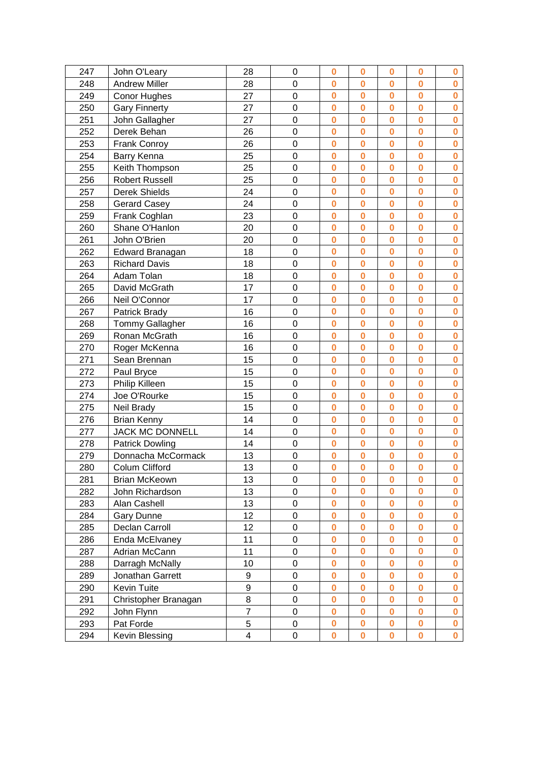| 247 | John O'Leary           | 28                      | $\mathbf 0$    | $\bf{0}$    | $\bf{0}$                | $\bf{0}$                | $\bf{0}$ | 0            |
|-----|------------------------|-------------------------|----------------|-------------|-------------------------|-------------------------|----------|--------------|
| 248 | <b>Andrew Miller</b>   | 28                      | 0              | $\bf{0}$    | $\bf{0}$                | $\bf{0}$                | $\bf{0}$ | $\bf{0}$     |
| 249 | <b>Conor Hughes</b>    | 27                      | $\overline{0}$ | $\bf{0}$    | $\bf{0}$                | $\bf{0}$                | $\bf{0}$ | $\bf{0}$     |
| 250 | <b>Gary Finnerty</b>   | 27                      | $\overline{0}$ | $\bf{0}$    | $\overline{\mathbf{0}}$ | $\overline{\mathbf{0}}$ | $\bf{0}$ | $\bf{0}$     |
| 251 | John Gallagher         | 27                      | $\mathbf 0$    | $\bf{0}$    | $\bf{0}$                | $\mathbf 0$             | $\bf{0}$ | $\mathbf 0$  |
| 252 | Derek Behan            | 26                      | 0              | $\bf{0}$    | $\overline{0}$          | $\bf{0}$                | $\bf{0}$ | $\bf{0}$     |
| 253 | <b>Frank Conroy</b>    | 26                      | $\mathbf 0$    | $\bf{0}$    | $\bf{0}$                | $\mathbf 0$             | $\bf{0}$ | $\bf{0}$     |
| 254 | Barry Kenna            | 25                      | $\overline{0}$ | $\bf{0}$    | $\bf{0}$                | $\overline{\mathbf{0}}$ | $\bf{0}$ | $\bf{0}$     |
| 255 | Keith Thompson         | 25                      | $\mathbf 0$    | $\mathbf 0$ | $\overline{\mathbf{0}}$ | $\overline{\mathbf{0}}$ | $\bf{0}$ | $\mathbf 0$  |
| 256 | <b>Robert Russell</b>  | 25                      | $\overline{0}$ | $\bf{0}$    | $\bf{0}$                | $\bf{0}$                | $\bf{0}$ | $\bf{0}$     |
| 257 | Derek Shields          | 24                      | $\mathbf 0$    | $\bf{0}$    | $\bf{0}$                | $\bf{0}$                | $\bf{0}$ | $\bf{0}$     |
| 258 | <b>Gerard Casey</b>    | 24                      | $\mathbf 0$    | $\bf{0}$    | $\bf{0}$                | $\bf{0}$                | $\bf{0}$ | $\bf{0}$     |
| 259 | Frank Coghlan          | 23                      | 0              | $\bf{0}$    | $\overline{0}$          | $\overline{\mathbf{0}}$ | $\bf{0}$ | $\bf{0}$     |
| 260 | Shane O'Hanlon         | 20                      | $\mathbf 0$    | $\bf{0}$    | $\bf{0}$                | $\bf{0}$                | $\bf{0}$ | $\bf{0}$     |
| 261 | John O'Brien           | 20                      | 0              | $\bf{0}$    | $\bf{0}$                | $\bf{0}$                | $\bf{0}$ | $\bf{0}$     |
| 262 | Edward Branagan        | 18                      | $\mathbf 0$    | $\bf{0}$    | $\bf{0}$                | $\bf{0}$                | $\bf{0}$ | $\bf{0}$     |
| 263 | <b>Richard Davis</b>   | 18                      | $\mathbf 0$    | $\bf{0}$    | $\bf{0}$                | $\bf{0}$                | $\bf{0}$ | $\bf{0}$     |
| 264 | Adam Tolan             | 18                      | 0              | $\bf{0}$    | $\overline{\mathbf{0}}$ | $\overline{\mathbf{0}}$ | $\bf{0}$ | $\bf{0}$     |
| 265 | David McGrath          | 17                      | $\overline{0}$ | $\bf{0}$    | $\bf{0}$                | $\mathbf 0$             | $\bf{0}$ | $\bf{0}$     |
| 266 | Neil O'Connor          | 17                      | 0              | $\bf{0}$    | $\bf{0}$                | $\bf{0}$                | $\bf{0}$ | $\bf{0}$     |
| 267 | Patrick Brady          | 16                      | 0              | $\bf{0}$    | $\bf{0}$                | $\bf{0}$                | $\bf{0}$ | $\bf{0}$     |
| 268 | Tommy Gallagher        | 16                      | $\mathbf 0$    | $\bf{0}$    | $\bf{0}$                | $\bf{0}$                | $\bf{0}$ | $\bf{0}$     |
| 269 | Ronan McGrath          | 16                      | $\mathbf 0$    | $\bf{0}$    | $\bf{0}$                | $\bf{0}$                | $\bf{0}$ | $\bf{0}$     |
| 270 | Roger McKenna          | 16                      | $\overline{0}$ | $\bf{0}$    | $\bf{0}$                | $\mathbf 0$             | $\bf{0}$ | $\mathbf 0$  |
| 271 | Sean Brennan           | 15                      | $\mathbf 0$    | $\bf{0}$    | $\overline{\mathbf{0}}$ | $\mathbf 0$             | $\bf{0}$ | $\bf{0}$     |
| 272 | Paul Bryce             | 15                      | 0              | $\bf{0}$    | $\bf{0}$                | $\bf{0}$                | $\bf{0}$ | $\bf{0}$     |
| 273 | Philip Killeen         | 15                      | $\overline{0}$ | $\bf{0}$    | $\bf{0}$                | $\overline{\mathbf{0}}$ | $\bf{0}$ | $\bf{0}$     |
| 274 | Joe O'Rourke           | 15                      | $\mathsf 0$    | $\mathbf 0$ | $\overline{\mathbf{0}}$ | $\overline{\mathbf{0}}$ | $\bf{0}$ | $\mathbf 0$  |
| 275 | Neil Brady             | 15                      | $\overline{0}$ | $\bf{0}$    | $\bf{0}$                | $\bf{0}$                | $\bf{0}$ | $\bf{0}$     |
| 276 | <b>Brian Kenny</b>     | 14                      | $\mathbf 0$    | $\bf{0}$    | $\bf{0}$                | $\bf{0}$                | $\bf{0}$ | $\bf{0}$     |
| 277 | JACK MC DONNELL        | 14                      | $\mathbf 0$    | $\bf{0}$    | $\bf{0}$                | $\bf{0}$                | $\bf{0}$ | $\bf{0}$     |
| 278 | <b>Patrick Dowling</b> | 14                      | $\mathbf 0$    | $\bf{0}$    | $\overline{0}$          | $\mathbf 0$             | $\bf{0}$ | $\bf{0}$     |
| 279 | Donnacha McCormack     | 13                      | $\mathbf 0$    | $\bf{0}$    | $\bf{0}$                | $\bf{0}$                | $\bf{0}$ | $\bf{0}$     |
| 280 | Colum Clifford         | 13                      | $\mathsf 0$    | $\bf{0}$    | $\bf{0}$                | $\bf{0}$                | $\bf{0}$ | $\bf{0}$     |
| 281 | <b>Brian McKeown</b>   | 13                      | 0              | $\bf{0}$    | $\bf{0}$                | $\bf{0}$                | $\bf{0}$ | $\mathbf 0$  |
| 282 | John Richardson        | 13                      | 0              | $\bf{0}$    | 0                       | $\bf{0}$                | $\bf{0}$ | $\bf{0}$     |
| 283 | Alan Cashell           | 13                      | $\mathbf 0$    | $\bf{0}$    | $\bf{0}$                | $\bf{0}$                | $\bf{0}$ | $\bf{0}$     |
| 284 | Gary Dunne             | 12                      | 0              | $\bf{0}$    | $\bf{0}$                | $\bf{0}$                | $\bf{0}$ | $\bf{0}$     |
| 285 | Declan Carroll         | 12                      | 0              | $\bf{0}$    | $\bf{0}$                | $\bf{0}$                | $\bf{0}$ | $\bf{0}$     |
| 286 | Enda McElvaney         | 11                      | 0              | $\bf{0}$    | $\bf{0}$                | $\bf{0}$                | $\bf{0}$ | $\bf{0}$     |
| 287 | Adrian McCann          | 11                      | $\mathbf 0$    | $\bf{0}$    | $\bf{0}$                | $\bf{0}$                | $\bf{0}$ | $\bf{0}$     |
| 288 | Darragh McNally        | 10                      | 0              | $\bf{0}$    | $\bf{0}$                | $\bf{0}$                | $\bf{0}$ | $\bf{0}$     |
| 289 | Jonathan Garrett       | 9                       | 0              | $\bf{0}$    | $\bf{0}$                | $\bf{0}$                | $\bf{0}$ | $\bf{0}$     |
| 290 | <b>Kevin Tuite</b>     | 9                       | 0              | $\bf{0}$    | $\bf{0}$                | $\bf{0}$                | 0        | $\bf{0}$     |
| 291 | Christopher Branagan   | 8                       | 0              | $\bf{0}$    | 0                       | $\bf{0}$                | $\bf{0}$ | $\bf{0}$     |
| 292 | John Flynn             | $\overline{7}$          | 0              | $\bf{0}$    | $\bf{0}$                | $\bf{0}$                | $\bf{0}$ | $\bf{0}$     |
| 293 | Pat Forde              | 5                       | $\mathsf 0$    | $\bf{0}$    | $\bf{0}$                | $\bf{0}$                | $\bf{0}$ | $\bf{0}$     |
| 294 | Kevin Blessing         | $\overline{\mathbf{4}}$ | $\mathbf 0$    | $\bf{0}$    | $\bf{0}$                | $\mathbf 0$             | $\bf{0}$ | $\mathbf{0}$ |